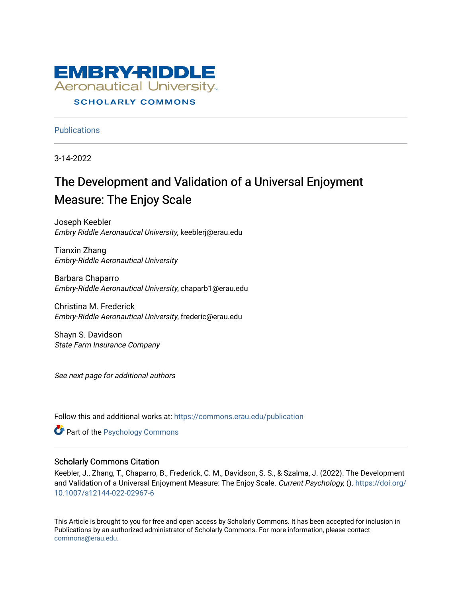

# **SCHOLARLY COMMONS**

**Publications** 

3-14-2022

# The Development and Validation of a Universal Enjoyment Measure: The Enjoy Scale

Joseph Keebler Embry Riddle Aeronautical University, keeblerj@erau.edu

Tianxin Zhang Embry-Riddle Aeronautical University

Barbara Chaparro Embry-Riddle Aeronautical University, chaparb1@erau.edu

Christina M. Frederick Embry-Riddle Aeronautical University, frederic@erau.edu

Shayn S. Davidson State Farm Insurance Company

See next page for additional authors

Follow this and additional works at: [https://commons.erau.edu/publication](https://commons.erau.edu/publication?utm_source=commons.erau.edu%2Fpublication%2F1784&utm_medium=PDF&utm_campaign=PDFCoverPages) 

**Part of the Psychology Commons** 

# Scholarly Commons Citation

Keebler, J., Zhang, T., Chaparro, B., Frederick, C. M., Davidson, S. S., & Szalma, J. (2022). The Development and Validation of a Universal Enjoyment Measure: The Enjoy Scale. Current Psychology, (). [https://doi.org/](https://doi.org/10.1007/s12144-022-02967-6) [10.1007/s12144-022-02967-6](https://doi.org/10.1007/s12144-022-02967-6)

This Article is brought to you for free and open access by Scholarly Commons. It has been accepted for inclusion in Publications by an authorized administrator of Scholarly Commons. For more information, please contact [commons@erau.edu](mailto:commons@erau.edu).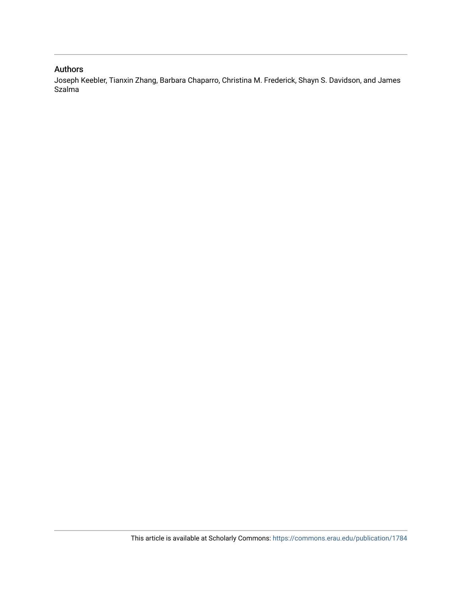# Authors

Joseph Keebler, Tianxin Zhang, Barbara Chaparro, Christina M. Frederick, Shayn S. Davidson, and James Szalma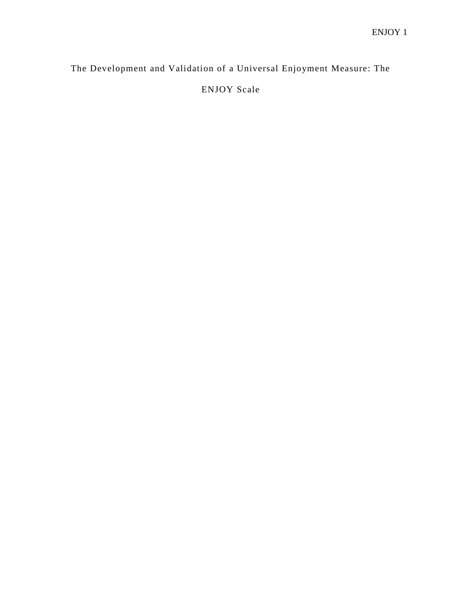The Development and Validation of a Universal Enjoyment Measure: The ENJOY Scale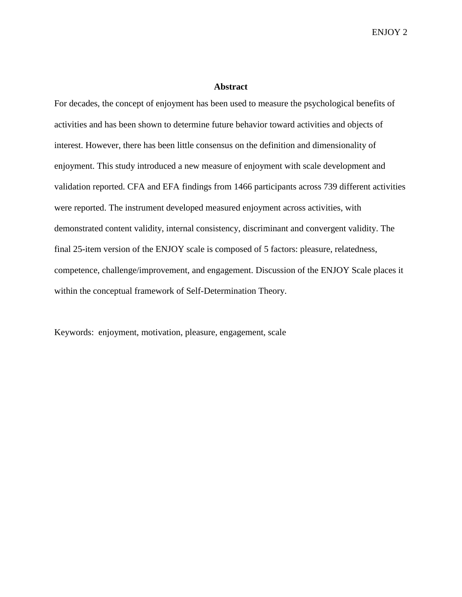#### **Abstract**

For decades, the concept of enjoyment has been used to measure the psychological benefits of activities and has been shown to determine future behavior toward activities and objects of interest. However, there has been little consensus on the definition and dimensionality of enjoyment. This study introduced a new measure of enjoyment with scale development and validation reported. CFA and EFA findings from 1466 participants across 739 different activities were reported. The instrument developed measured enjoyment across activities, with demonstrated content validity, internal consistency, discriminant and convergent validity. The final 25-item version of the ENJOY scale is composed of 5 factors: pleasure, relatedness, competence, challenge/improvement, and engagement. Discussion of the ENJOY Scale places it within the conceptual framework of Self-Determination Theory.

Keywords: enjoyment, motivation, pleasure, engagement, scale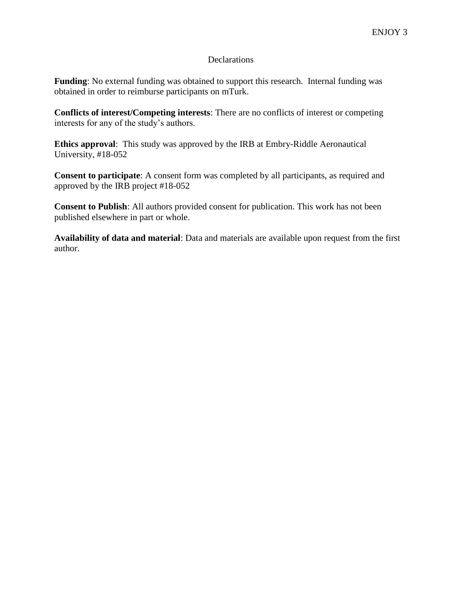# **Declarations**

**Funding**: No external funding was obtained to support this research. Internal funding was obtained in order to reimburse participants on mTurk.

**Conflicts of interest/Competing interests**: There are no conflicts of interest or competing interests for any of the study's authors.

**Ethics approval**: This study was approved by the IRB at Embry-Riddle Aeronautical University, #18-052

**Consent to participate**: A consent form was completed by all participants, as required and approved by the IRB project #18-052

**Consent to Publish**: All authors provided consent for publication. This work has not been published elsewhere in part or whole.

**Availability of data and material**: Data and materials are available upon request from the first author.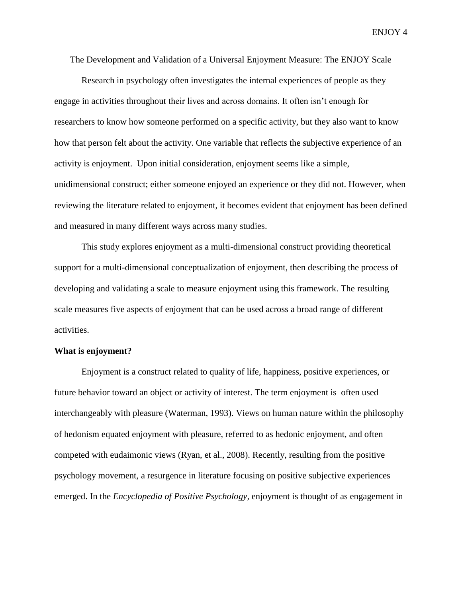The Development and Validation of a Universal Enjoyment Measure: The ENJOY Scale

Research in psychology often investigates the internal experiences of people as they engage in activities throughout their lives and across domains. It often isn't enough for researchers to know how someone performed on a specific activity, but they also want to know how that person felt about the activity. One variable that reflects the subjective experience of an activity is enjoyment. Upon initial consideration, enjoyment seems like a simple, unidimensional construct; either someone enjoyed an experience or they did not. However, when reviewing the literature related to enjoyment, it becomes evident that enjoyment has been defined and measured in many different ways across many studies.

This study explores enjoyment as a multi-dimensional construct providing theoretical support for a multi-dimensional conceptualization of enjoyment, then describing the process of developing and validating a scale to measure enjoyment using this framework. The resulting scale measures five aspects of enjoyment that can be used across a broad range of different activities.

#### **What is enjoyment?**

Enjoyment is a construct related to quality of life, happiness, positive experiences, or future behavior toward an object or activity of interest. The term enjoyment is often used interchangeably with pleasure (Waterman, 1993). Views on human nature within the philosophy of hedonism equated enjoyment with pleasure, referred to as hedonic enjoyment, and often competed with eudaimonic views (Ryan, et al., 2008). Recently, resulting from the positive psychology movement, a resurgence in literature focusing on positive subjective experiences emerged. In the *Encyclopedia of Positive Psychology,* enjoyment is thought of as engagement in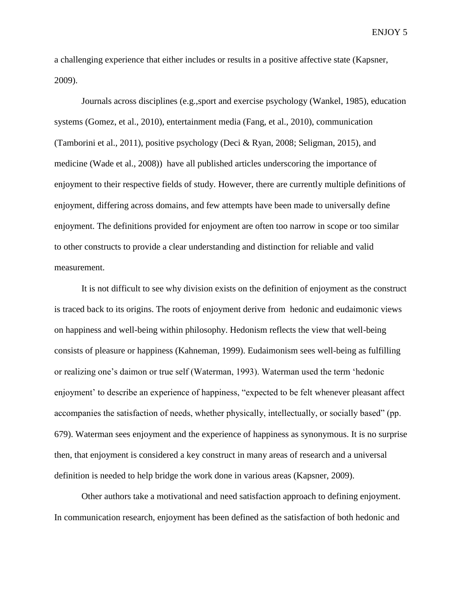a challenging experience that either includes or results in a positive affective state (Kapsner, 2009).

Journals across disciplines (e.g.,sport and exercise psychology (Wankel, 1985), education systems (Gomez, et al., 2010), entertainment media (Fang, et al., 2010), communication (Tamborini et al., 2011), positive psychology (Deci & Ryan, 2008; Seligman, 2015), and medicine (Wade et al., 2008)) have all published articles underscoring the importance of enjoyment to their respective fields of study. However, there are currently multiple definitions of enjoyment, differing across domains, and few attempts have been made to universally define enjoyment. The definitions provided for enjoyment are often too narrow in scope or too similar to other constructs to provide a clear understanding and distinction for reliable and valid measurement.

It is not difficult to see why division exists on the definition of enjoyment as the construct is traced back to its origins. The roots of enjoyment derive from hedonic and eudaimonic views on happiness and well-being within philosophy. Hedonism reflects the view that well-being consists of pleasure or happiness (Kahneman, 1999). Eudaimonism sees well-being as fulfilling or realizing one's daimon or true self (Waterman, 1993). Waterman used the term 'hedonic enjoyment' to describe an experience of happiness, "expected to be felt whenever pleasant affect accompanies the satisfaction of needs, whether physically, intellectually, or socially based" (pp. 679). Waterman sees enjoyment and the experience of happiness as synonymous. It is no surprise then, that enjoyment is considered a key construct in many areas of research and a universal definition is needed to help bridge the work done in various areas (Kapsner, 2009).

Other authors take a motivational and need satisfaction approach to defining enjoyment. In communication research, enjoyment has been defined as the satisfaction of both hedonic and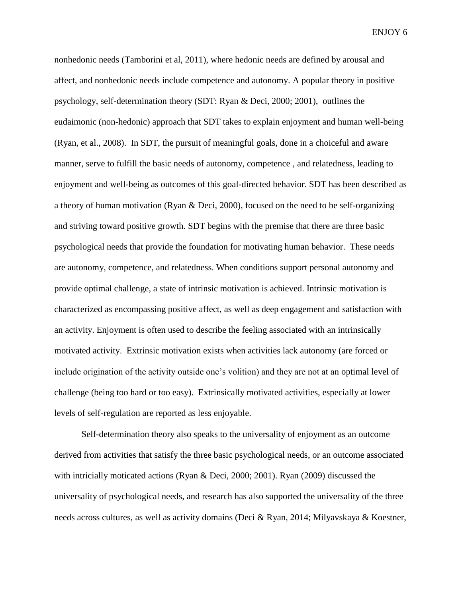nonhedonic needs (Tamborini et al, 2011), where hedonic needs are defined by arousal and affect, and nonhedonic needs include competence and autonomy. A popular theory in positive psychology, self-determination theory (SDT: Ryan & Deci, 2000; 2001), outlines the eudaimonic (non-hedonic) approach that SDT takes to explain enjoyment and human well-being (Ryan, et al., 2008). In SDT, the pursuit of meaningful goals, done in a choiceful and aware manner, serve to fulfill the basic needs of autonomy, competence , and relatedness, leading to enjoyment and well-being as outcomes of this goal-directed behavior. SDT has been described as a theory of human motivation (Ryan & Deci, 2000), focused on the need to be self-organizing and striving toward positive growth. SDT begins with the premise that there are three basic psychological needs that provide the foundation for motivating human behavior. These needs are autonomy, competence, and relatedness. When conditions support personal autonomy and provide optimal challenge, a state of intrinsic motivation is achieved. Intrinsic motivation is characterized as encompassing positive affect, as well as deep engagement and satisfaction with an activity. Enjoyment is often used to describe the feeling associated with an intrinsically motivated activity. Extrinsic motivation exists when activities lack autonomy (are forced or include origination of the activity outside one's volition) and they are not at an optimal level of challenge (being too hard or too easy). Extrinsically motivated activities, especially at lower levels of self-regulation are reported as less enjoyable.

Self-determination theory also speaks to the universality of enjoyment as an outcome derived from activities that satisfy the three basic psychological needs, or an outcome associated with intricially moticated actions (Ryan & Deci, 2000; 2001). Ryan (2009) discussed the universality of psychological needs, and research has also supported the universality of the three needs across cultures, as well as activity domains (Deci & Ryan, 2014; Milyavskaya & Koestner,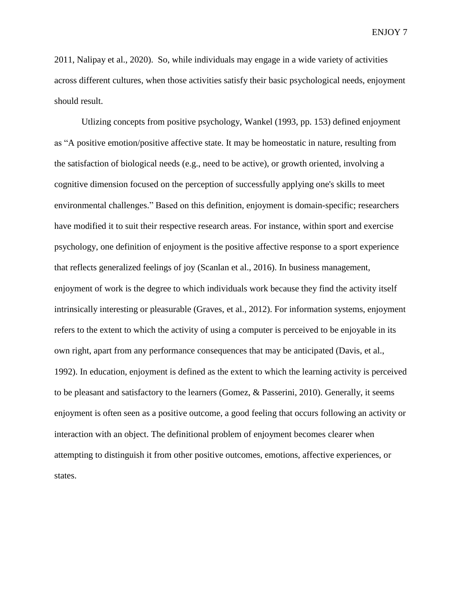2011, Nalipay et al., 2020). So, while individuals may engage in a wide variety of activities across different cultures, when those activities satisfy their basic psychological needs, enjoyment should result.

Utlizing concepts from positive psychology, Wankel (1993, pp. 153) defined enjoyment as "A positive emotion/positive affective state. It may be homeostatic in nature, resulting from the satisfaction of biological needs (e.g., need to be active), or growth oriented, involving a cognitive dimension focused on the perception of successfully applying one's skills to meet environmental challenges." Based on this definition, enjoyment is domain-specific; researchers have modified it to suit their respective research areas. For instance, within sport and exercise psychology, one definition of enjoyment is the positive affective response to a sport experience that reflects generalized feelings of joy (Scanlan et al., 2016). In business management, enjoyment of work is the degree to which individuals work because they find the activity itself intrinsically interesting or pleasurable (Graves, et al., 2012). For information systems, enjoyment refers to the extent to which the activity of using a computer is perceived to be enjoyable in its own right, apart from any performance consequences that may be anticipated (Davis, et al., 1992). In education, enjoyment is defined as the extent to which the learning activity is perceived to be pleasant and satisfactory to the learners (Gomez, & Passerini, 2010). Generally, it seems enjoyment is often seen as a positive outcome, a good feeling that occurs following an activity or interaction with an object. The definitional problem of enjoyment becomes clearer when attempting to distinguish it from other positive outcomes, emotions, affective experiences, or states.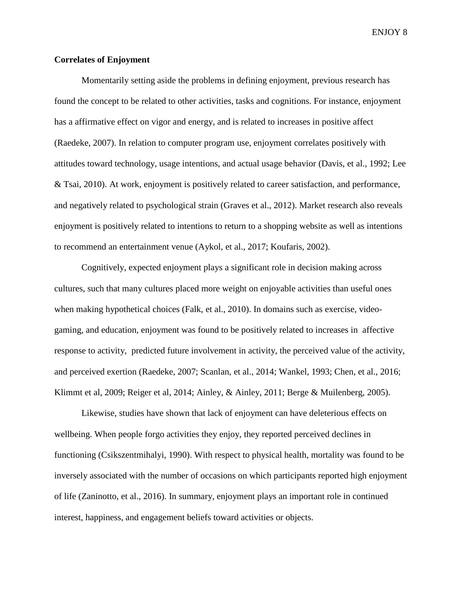## **Correlates of Enjoyment**

Momentarily setting aside the problems in defining enjoyment, previous research has found the concept to be related to other activities, tasks and cognitions. For instance, enjoyment has a affirmative effect on vigor and energy, and is related to increases in positive affect (Raedeke, 2007). In relation to computer program use, enjoyment correlates positively with attitudes toward technology, usage intentions, and actual usage behavior (Davis, et al., 1992; Lee & Tsai, 2010). At work, enjoyment is positively related to career satisfaction, and performance, and negatively related to psychological strain (Graves et al., 2012). Market research also reveals enjoyment is positively related to intentions to return to a shopping website as well as intentions to recommend an entertainment venue (Aykol, et al., 2017; Koufaris, 2002).

Cognitively, expected enjoyment plays a significant role in decision making across cultures, such that many cultures placed more weight on enjoyable activities than useful ones when making hypothetical choices (Falk, et al., 2010). In domains such as exercise, videogaming, and education, enjoyment was found to be positively related to increases in affective response to activity, predicted future involvement in activity, the perceived value of the activity, and perceived exertion (Raedeke, 2007; Scanlan, et al., 2014; Wankel, 1993; Chen, et al., 2016; Klimmt et al, 2009; Reiger et al, 2014; Ainley, & Ainley, 2011; Berge & Muilenberg, 2005).

Likewise, studies have shown that lack of enjoyment can have deleterious effects on wellbeing. When people forgo activities they enjoy, they reported perceived declines in functioning (Csikszentmihalyi, 1990). With respect to physical health, mortality was found to be inversely associated with the number of occasions on which participants reported high enjoyment of life (Zaninotto, et al., 2016). In summary, enjoyment plays an important role in continued interest, happiness, and engagement beliefs toward activities or objects.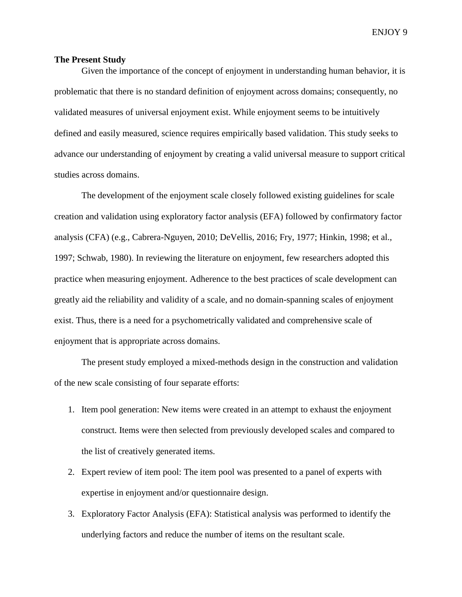#### **The Present Study**

Given the importance of the concept of enjoyment in understanding human behavior, it is problematic that there is no standard definition of enjoyment across domains; consequently, no validated measures of universal enjoyment exist. While enjoyment seems to be intuitively defined and easily measured, science requires empirically based validation. This study seeks to advance our understanding of enjoyment by creating a valid universal measure to support critical studies across domains.

The development of the enjoyment scale closely followed existing guidelines for scale creation and validation using exploratory factor analysis (EFA) followed by confirmatory factor analysis (CFA) (e.g., Cabrera-Nguyen, 2010; DeVellis, 2016; Fry, 1977; Hinkin, 1998; et al., 1997; Schwab, 1980). In reviewing the literature on enjoyment, few researchers adopted this practice when measuring enjoyment. Adherence to the best practices of scale development can greatly aid the reliability and validity of a scale, and no domain-spanning scales of enjoyment exist. Thus, there is a need for a psychometrically validated and comprehensive scale of enjoyment that is appropriate across domains.

The present study employed a mixed-methods design in the construction and validation of the new scale consisting of four separate efforts:

- 1. Item pool generation: New items were created in an attempt to exhaust the enjoyment construct. Items were then selected from previously developed scales and compared to the list of creatively generated items.
- 2. Expert review of item pool: The item pool was presented to a panel of experts with expertise in enjoyment and/or questionnaire design.
- 3. Exploratory Factor Analysis (EFA): Statistical analysis was performed to identify the underlying factors and reduce the number of items on the resultant scale.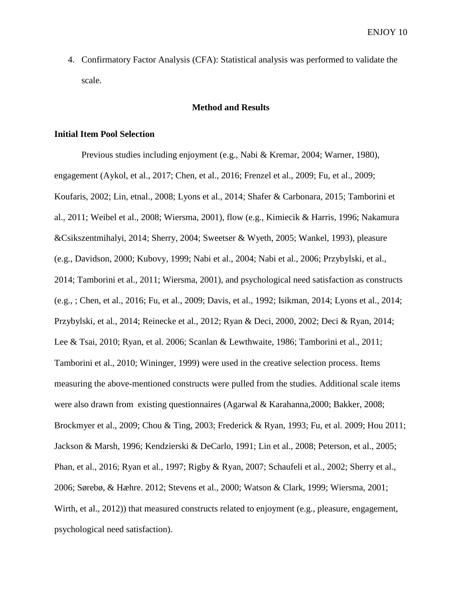4. Confirmatory Factor Analysis (CFA): Statistical analysis was performed to validate the scale.

## **Method and Results**

# **Initial Item Pool Selection**

Previous studies including enjoyment (e.g., Nabi & Kremar, 2004; Warner, 1980), engagement (Aykol, et al., 2017; Chen, et al., 2016; Frenzel et al., 2009; Fu, et al., 2009; Koufaris, 2002; Lin, etnal., 2008; Lyons et al., 2014; Shafer & Carbonara, 2015; Tamborini et al., 2011; Weibel et al., 2008; Wiersma, 2001), flow (e.g., Kimiecik & Harris, 1996; Nakamura &Csikszentmihalyi, 2014; Sherry, 2004; Sweetser & Wyeth, 2005; Wankel, 1993), pleasure (e.g., Davidson, 2000; Kubovy, 1999; Nabi et al., 2004; Nabi et al., 2006; Przybylski, et al., 2014; Tamborini et al., 2011; Wiersma, 2001), and psychological need satisfaction as constructs (e.g., ; Chen, et al., 2016; Fu, et al., 2009; Davis, et al., 1992; Isikman, 2014; Lyons et al., 2014; Przybylski, et al., 2014; Reinecke et al., 2012; Ryan & Deci, 2000, 2002; Deci & Ryan, 2014; Lee & Tsai, 2010; Ryan, et al. 2006; Scanlan & Lewthwaite, 1986; Tamborini et al., 2011; Tamborini et al., 2010; Wininger, 1999) were used in the creative selection process. Items measuring the above-mentioned constructs were pulled from the studies. Additional scale items were also drawn from existing questionnaires (Agarwal & Karahanna,2000; Bakker, 2008; Brockmyer et al., 2009; Chou & Ting, 2003; Frederick & Ryan, 1993; Fu, et al. 2009; Hou 2011; Jackson & Marsh, 1996; Kendzierski & DeCarlo, 1991; Lin et al., 2008; Peterson, et al., 2005; Phan, et al., 2016; Ryan et al., 1997; Rigby & Ryan, 2007; Schaufeli et al., 2002; Sherry et al., 2006; Sørebø, & Hæhre. 2012; Stevens et al., 2000; Watson & Clark, 1999; Wiersma, 2001; Wirth, et al., 2012)) that measured constructs related to enjoyment (e.g., pleasure, engagement, psychological need satisfaction).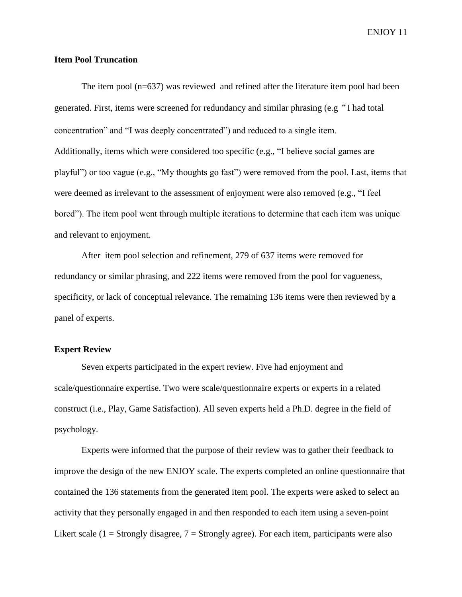## **Item Pool Truncation**

The item pool (n=637) was reviewed and refined after the literature item pool had been generated. First, items were screened for redundancy and similar phrasing (e.g"I had total concentration" and "I was deeply concentrated") and reduced to a single item. Additionally, items which were considered too specific (e.g., "I believe social games are playful") or too vague (e.g., "My thoughts go fast") were removed from the pool. Last, items that were deemed as irrelevant to the assessment of enjoyment were also removed (e.g., "I feel bored"). The item pool went through multiple iterations to determine that each item was unique and relevant to enjoyment.

After item pool selection and refinement, 279 of 637 items were removed for redundancy or similar phrasing, and 222 items were removed from the pool for vagueness, specificity, or lack of conceptual relevance. The remaining 136 items were then reviewed by a panel of experts.

# **Expert Review**

Seven experts participated in the expert review. Five had enjoyment and scale/questionnaire expertise. Two were scale/questionnaire experts or experts in a related construct (i.e., Play, Game Satisfaction). All seven experts held a Ph.D. degree in the field of psychology.

Experts were informed that the purpose of their review was to gather their feedback to improve the design of the new ENJOY scale. The experts completed an online questionnaire that contained the 136 statements from the generated item pool. The experts were asked to select an activity that they personally engaged in and then responded to each item using a seven-point Likert scale (1 = Strongly disagree,  $7 =$  Strongly agree). For each item, participants were also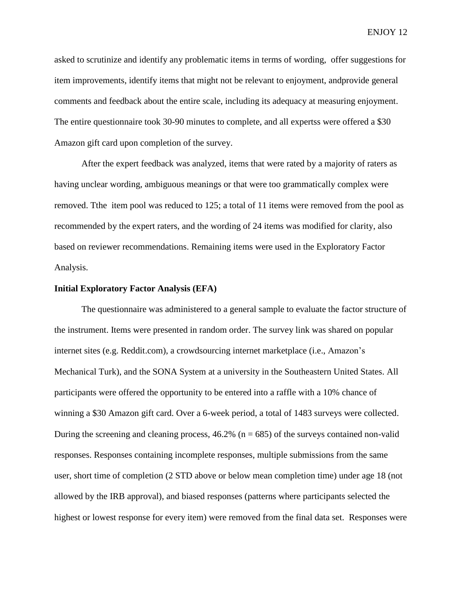asked to scrutinize and identify any problematic items in terms of wording, offer suggestions for item improvements, identify items that might not be relevant to enjoyment, andprovide general comments and feedback about the entire scale, including its adequacy at measuring enjoyment. The entire questionnaire took 30-90 minutes to complete, and all expertss were offered a \$30 Amazon gift card upon completion of the survey.

After the expert feedback was analyzed, items that were rated by a majority of raters as having unclear wording, ambiguous meanings or that were too grammatically complex were removed. Tthe item pool was reduced to 125; a total of 11 items were removed from the pool as recommended by the expert raters, and the wording of 24 items was modified for clarity, also based on reviewer recommendations. Remaining items were used in the Exploratory Factor Analysis.

### **Initial Exploratory Factor Analysis (EFA)**

The questionnaire was administered to a general sample to evaluate the factor structure of the instrument. Items were presented in random order. The survey link was shared on popular internet sites (e.g. Reddit.com), a crowdsourcing internet marketplace (i.e., Amazon's Mechanical Turk), and the SONA System at a university in the Southeastern United States. All participants were offered the opportunity to be entered into a raffle with a 10% chance of winning a \$30 Amazon gift card. Over a 6-week period, a total of 1483 surveys were collected. During the screening and cleaning process,  $46.2\%$  (n = 685) of the surveys contained non-valid responses. Responses containing incomplete responses, multiple submissions from the same user, short time of completion (2 STD above or below mean completion time) under age 18 (not allowed by the IRB approval), and biased responses (patterns where participants selected the highest or lowest response for every item) were removed from the final data set. Responses were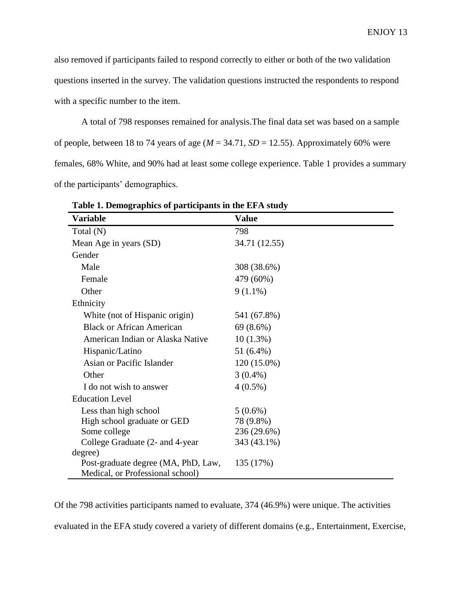also removed if participants failed to respond correctly to either or both of the two validation questions inserted in the survey. The validation questions instructed the respondents to respond with a specific number to the item.

A total of 798 responses remained for analysis.The final data set was based on a sample of people, between 18 to 74 years of age  $(M = 34.71, SD = 12.55)$ . Approximately 60% were females, 68% White, and 90% had at least some college experience. Table 1 provides a summary of the participants' demographics.

| Variable                            | <b>Value</b>  |
|-------------------------------------|---------------|
| Total (N)                           | 798           |
| Mean Age in years (SD)              | 34.71 (12.55) |
| Gender                              |               |
| Male                                | 308 (38.6%)   |
| Female                              | 479 (60%)     |
| Other                               | $9(1.1\%)$    |
| Ethnicity                           |               |
| White (not of Hispanic origin)      | 541 (67.8%)   |
| <b>Black or African American</b>    | 69 (8.6%)     |
| American Indian or Alaska Native    | $10(1.3\%)$   |
| Hispanic/Latino                     | 51 (6.4%)     |
| Asian or Pacific Islander           | 120 (15.0%)   |
| Other                               | $3(0.4\%)$    |
| I do not wish to answer             | $4(0.5\%)$    |
| <b>Education Level</b>              |               |
| Less than high school               | $5(0.6\%)$    |
| High school graduate or GED         | 78 (9.8%)     |
| Some college                        | 236 (29.6%)   |
| College Graduate (2- and 4-year     | 343 (43.1%)   |
| degree)                             |               |
| Post-graduate degree (MA, PhD, Law, | 135 (17%)     |
| Medical, or Professional school)    |               |

**Table 1. Demographics of participants in the EFA study**

Of the 798 activities participants named to evaluate, 374 (46.9%) were unique. The activities evaluated in the EFA study covered a variety of different domains (e.g., Entertainment, Exercise,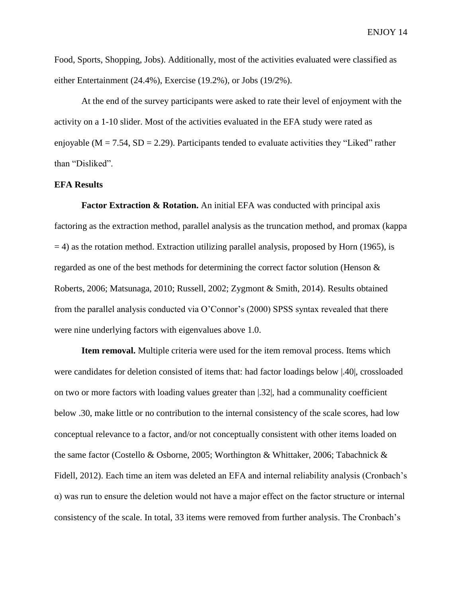Food, Sports, Shopping, Jobs). Additionally, most of the activities evaluated were classified as either Entertainment (24.4%), Exercise (19.2%), or Jobs (19/2%).

At the end of the survey participants were asked to rate their level of enjoyment with the activity on a 1-10 slider. Most of the activities evaluated in the EFA study were rated as enjoyable ( $M = 7.54$ ,  $SD = 2.29$ ). Participants tended to evaluate activities they "Liked" rather than "Disliked".

## **EFA Results**

**Factor Extraction & Rotation.** An initial EFA was conducted with principal axis factoring as the extraction method, parallel analysis as the truncation method, and promax (kappa  $=$  4) as the rotation method. Extraction utilizing parallel analysis, proposed by Horn (1965), is regarded as one of the best methods for determining the correct factor solution (Henson & Roberts, 2006; Matsunaga, 2010; Russell, 2002; Zygmont & Smith, 2014). Results obtained from the parallel analysis conducted via O'Connor's (2000) SPSS syntax revealed that there were nine underlying factors with eigenvalues above 1.0.

**Item removal.** Multiple criteria were used for the item removal process. Items which were candidates for deletion consisted of items that: had factor loadings below |.40|, crossloaded on two or more factors with loading values greater than |.32|, had a communality coefficient below .30, make little or no contribution to the internal consistency of the scale scores, had low conceptual relevance to a factor, and/or not conceptually consistent with other items loaded on the same factor (Costello & Osborne, 2005; Worthington & Whittaker, 2006; Tabachnick & Fidell, 2012). Each time an item was deleted an EFA and internal reliability analysis (Cronbach's α) was run to ensure the deletion would not have a major effect on the factor structure or internal consistency of the scale. In total, 33 items were removed from further analysis. The Cronbach's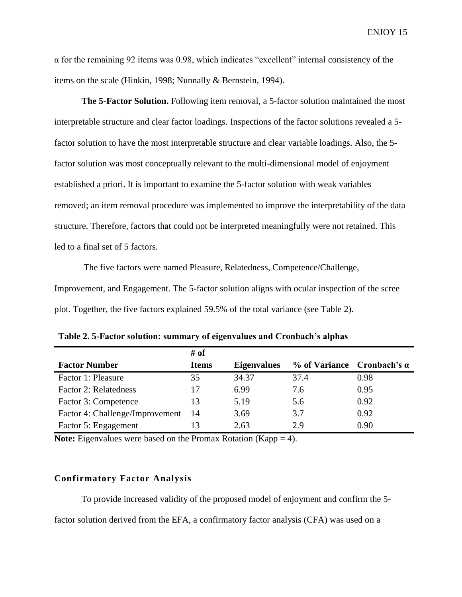$\alpha$  for the remaining 92 items was 0.98, which indicates "excellent" internal consistency of the items on the scale (Hinkin, 1998; Nunnally & Bernstein, 1994).

**The 5-Factor Solution.** Following item removal, a 5-factor solution maintained the most interpretable structure and clear factor loadings. Inspections of the factor solutions revealed a 5 factor solution to have the most interpretable structure and clear variable loadings. Also, the 5 factor solution was most conceptually relevant to the multi-dimensional model of enjoyment established a priori. It is important to examine the 5-factor solution with weak variables removed; an item removal procedure was implemented to improve the interpretability of the data structure. Therefore, factors that could not be interpreted meaningfully were not retained. This led to a final set of 5 factors.

The five factors were named Pleasure, Relatedness, Competence/Challenge, Improvement, and Engagement. The 5-factor solution aligns with ocular inspection of the scree plot. Together, the five factors explained 59.5% of the total variance (see Table 2).

|                                 | # of         |                    |                                     |      |
|---------------------------------|--------------|--------------------|-------------------------------------|------|
| <b>Factor Number</b>            | <b>Items</b> | <b>Eigenvalues</b> | $%$ of Variance Cronbach's $\alpha$ |      |
| Factor 1: Pleasure              | 35           | 34.37              | 37.4                                | 0.98 |
| Factor 2: Relatedness           | 17           | 6.99               | 7.6                                 | 0.95 |
| Factor 3: Competence            | 13           | 5.19               | 5.6                                 | 0.92 |
| Factor 4: Challenge/Improvement | 14           | 3.69               | 3.7                                 | 0.92 |
| Factor 5: Engagement            |              | 2.63               | 2.9                                 | 0.90 |

**Table 2. 5-Factor solution: summary of eigenvalues and Cronbach's alphas**

**Note:** Eigenvalues were based on the Promax Rotation (Kapp = 4).

# **Confirmatory Factor Analysis**

To provide increased validity of the proposed model of enjoyment and confirm the 5-

factor solution derived from the EFA, a confirmatory factor analysis (CFA) was used on a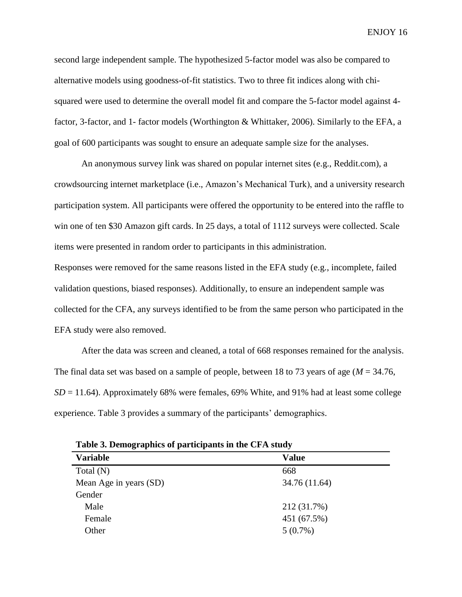second large independent sample. The hypothesized 5-factor model was also be compared to alternative models using goodness-of-fit statistics. Two to three fit indices along with chisquared were used to determine the overall model fit and compare the 5-factor model against 4 factor, 3-factor, and 1- factor models (Worthington & Whittaker, 2006). Similarly to the EFA, a goal of 600 participants was sought to ensure an adequate sample size for the analyses.

An anonymous survey link was shared on popular internet sites (e.g., Reddit.com), a crowdsourcing internet marketplace (i.e., Amazon's Mechanical Turk), and a university research participation system. All participants were offered the opportunity to be entered into the raffle to win one of ten \$30 Amazon gift cards. In 25 days, a total of 1112 surveys were collected. Scale items were presented in random order to participants in this administration.

Responses were removed for the same reasons listed in the EFA study (e.g., incomplete, failed validation questions, biased responses). Additionally, to ensure an independent sample was collected for the CFA, any surveys identified to be from the same person who participated in the EFA study were also removed.

After the data was screen and cleaned, a total of 668 responses remained for the analysis. The final data set was based on a sample of people, between 18 to 73 years of age (*M* = 34.76,  $SD = 11.64$ ). Approximately 68% were females, 69% White, and 91% had at least some college experience. Table 3 provides a summary of the participants' demographics.

| Table of Demographics of participation in the Critistaty |               |  |
|----------------------------------------------------------|---------------|--|
| <b>Variable</b>                                          | <b>Value</b>  |  |
| Total $(N)$                                              | 668           |  |
| Mean Age in years (SD)                                   | 34.76 (11.64) |  |
| Gender                                                   |               |  |
| Male                                                     | 212 (31.7%)   |  |
| Female                                                   | 451 (67.5%)   |  |
| Other                                                    | $5(0.7\%)$    |  |
|                                                          |               |  |

**Table 3. Demographics of participants in the CFA study**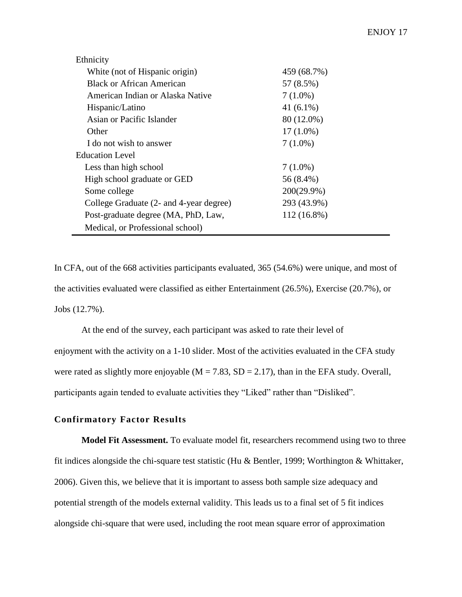| Ethnicity                               |               |
|-----------------------------------------|---------------|
| White (not of Hispanic origin)          | 459 (68.7%)   |
| <b>Black or African American</b>        | 57 (8.5%)     |
| American Indian or Alaska Native        | $7(1.0\%)$    |
| Hispanic/Latino                         | 41 $(6.1\%)$  |
| Asian or Pacific Islander               | 80 (12.0%)    |
| Other                                   | $17(1.0\%)$   |
| I do not wish to answer                 | $7(1.0\%)$    |
| Education Level                         |               |
| Less than high school                   | $7(1.0\%)$    |
| High school graduate or GED             | 56 (8.4%)     |
| Some college                            | $200(29.9\%)$ |
| College Graduate (2- and 4-year degree) | 293 (43.9%)   |
| Post-graduate degree (MA, PhD, Law,     | 112 (16.8%)   |
| Medical, or Professional school)        |               |

In CFA, out of the 668 activities participants evaluated, 365 (54.6%) were unique, and most of the activities evaluated were classified as either Entertainment (26.5%), Exercise (20.7%), or Jobs (12.7%).

At the end of the survey, each participant was asked to rate their level of enjoyment with the activity on a 1-10 slider. Most of the activities evaluated in the CFA study were rated as slightly more enjoyable ( $M = 7.83$ ,  $SD = 2.17$ ), than in the EFA study. Overall, participants again tended to evaluate activities they "Liked" rather than "Disliked".

# **Confirmatory Factor Results**

**Model Fit Assessment.** To evaluate model fit, researchers recommend using two to three fit indices alongside the chi-square test statistic (Hu & Bentler, 1999; Worthington & Whittaker, 2006). Given this, we believe that it is important to assess both sample size adequacy and potential strength of the models external validity. This leads us to a final set of 5 fit indices alongside chi-square that were used, including the root mean square error of approximation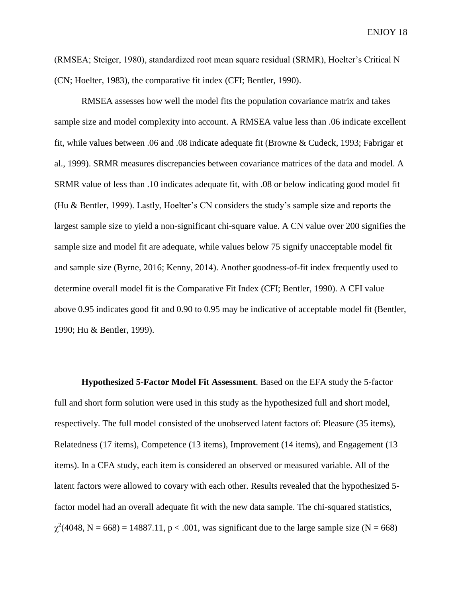(RMSEA; Steiger, 1980), standardized root mean square residual (SRMR), Hoelter's Critical N (CN; Hoelter, 1983), the comparative fit index (CFI; Bentler, 1990).

RMSEA assesses how well the model fits the population covariance matrix and takes sample size and model complexity into account. A RMSEA value less than .06 indicate excellent fit, while values between .06 and .08 indicate adequate fit (Browne & Cudeck, 1993; Fabrigar et al., 1999). SRMR measures discrepancies between covariance matrices of the data and model. A SRMR value of less than .10 indicates adequate fit, with .08 or below indicating good model fit (Hu & Bentler, 1999). Lastly, Hoelter's CN considers the study's sample size and reports the largest sample size to yield a non-significant chi-square value. A CN value over 200 signifies the sample size and model fit are adequate, while values below 75 signify unacceptable model fit and sample size (Byrne, 2016; Kenny, 2014). Another goodness-of-fit index frequently used to determine overall model fit is the Comparative Fit Index (CFI; Bentler, 1990). A CFI value above 0.95 indicates good fit and 0.90 to 0.95 may be indicative of acceptable model fit (Bentler, 1990; Hu & Bentler, 1999).

**Hypothesized 5-Factor Model Fit Assessment**. Based on the EFA study the 5-factor full and short form solution were used in this study as the hypothesized full and short model, respectively. The full model consisted of the unobserved latent factors of: Pleasure (35 items), Relatedness (17 items), Competence (13 items), Improvement (14 items), and Engagement (13 items). In a CFA study, each item is considered an observed or measured variable. All of the latent factors were allowed to covary with each other. Results revealed that the hypothesized 5 factor model had an overall adequate fit with the new data sample. The chi-squared statistics,  $\chi^2$ (4048, N = 668) = 14887.11, p < .001, was significant due to the large sample size (N = 668)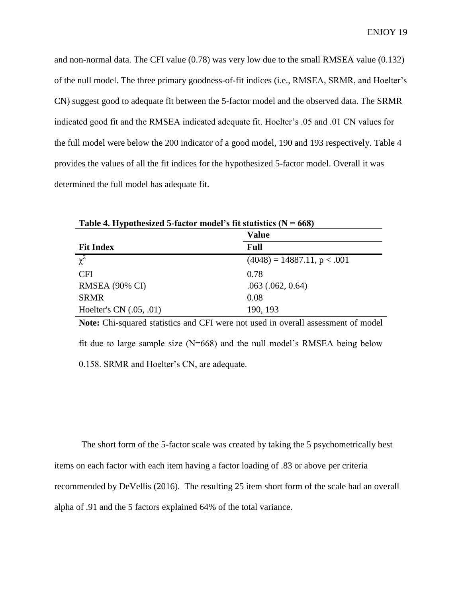and non-normal data. The CFI value (0.78) was very low due to the small RMSEA value (0.132) of the null model. The three primary goodness-of-fit indices (i.e., RMSEA, SRMR, and Hoelter's CN) suggest good to adequate fit between the 5-factor model and the observed data. The SRMR indicated good fit and the RMSEA indicated adequate fit. Hoelter's .05 and .01 CN values for the full model were below the 200 indicator of a good model, 190 and 193 respectively. Table 4 provides the values of all the fit indices for the hypothesized 5-factor model. Overall it was determined the full model has adequate fit.

**Value** Fit Index Full  $\overline{\chi^2}$  $(4048) = 14887.11$ , p < .001 CFI 0.78 RMSEA (90% CI) .063 (.062, 0.64) SRMR 0.08 Hoelter's CN (.05, .01) 190, 193

**Table 4. Hypothesized 5-factor model's fit statistics (N = 668)**

**Note:** Chi-squared statistics and CFI were not used in overall assessment of model fit due to large sample size  $(N=668)$  and the null model's RMSEA being below 0.158. SRMR and Hoelter's CN, are adequate.

The short form of the 5-factor scale was created by taking the 5 psychometrically best items on each factor with each item having a factor loading of .83 or above per criteria recommended by DeVellis (2016). The resulting 25 item short form of the scale had an overall alpha of .91 and the 5 factors explained 64% of the total variance.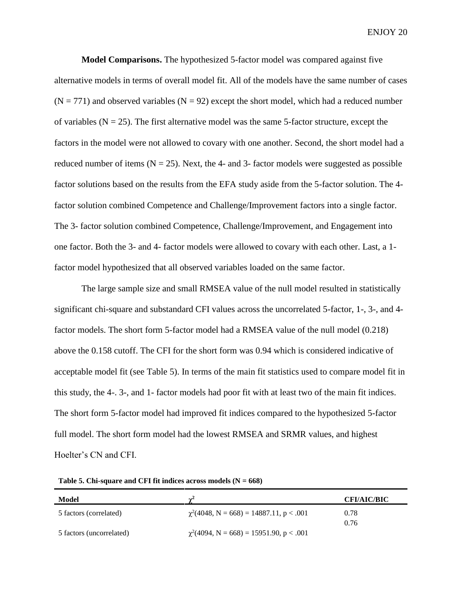**Model Comparisons.** The hypothesized 5-factor model was compared against five alternative models in terms of overall model fit. All of the models have the same number of cases  $(N = 771)$  and observed variables  $(N = 92)$  except the short model, which had a reduced number of variables ( $N = 25$ ). The first alternative model was the same 5-factor structure, except the factors in the model were not allowed to covary with one another. Second, the short model had a reduced number of items  $(N = 25)$ . Next, the 4- and 3- factor models were suggested as possible factor solutions based on the results from the EFA study aside from the 5-factor solution. The 4 factor solution combined Competence and Challenge/Improvement factors into a single factor. The 3- factor solution combined Competence, Challenge/Improvement, and Engagement into one factor. Both the 3- and 4- factor models were allowed to covary with each other. Last, a 1 factor model hypothesized that all observed variables loaded on the same factor.

The large sample size and small RMSEA value of the null model resulted in statistically significant chi-square and substandard CFI values across the uncorrelated 5-factor, 1-, 3-, and 4 factor models. The short form 5-factor model had a RMSEA value of the null model (0.218) above the 0.158 cutoff. The CFI for the short form was 0.94 which is considered indicative of acceptable model fit (see Table 5). In terms of the main fit statistics used to compare model fit in this study, the 4-. 3-, and 1- factor models had poor fit with at least two of the main fit indices. The short form 5-factor model had improved fit indices compared to the hypothesized 5-factor full model. The short form model had the lowest RMSEA and SRMR values, and highest Hoelter's CN and CFI.

| Model                    |                                               | <b>CFI/AIC/BIC</b> |
|--------------------------|-----------------------------------------------|--------------------|
| 5 factors (correlated)   | $\chi^2$ (4048, N = 668) = 14887.11, p < .001 | 0.78               |
|                          |                                               | 0.76               |
| 5 factors (uncorrelated) | $\chi^2(4094, N = 668) = 15951.90, p < .001$  |                    |

Table 5. Chi-square and CFI fit indices across models  $(N = 668)$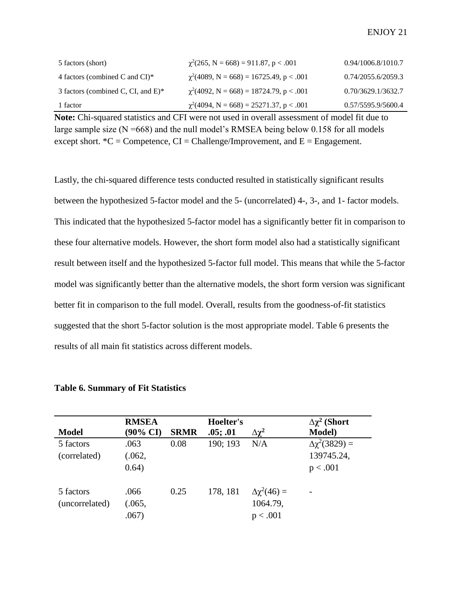| 5 factors (short)                     | $\chi^2(265, N = 668) = 911.87, p < .001$      | 0.94/1006.8/1010.7 |
|---------------------------------------|------------------------------------------------|--------------------|
| 4 factors (combined C and CI) $*$     | $\gamma^2(4089, N = 668) = 16725.49, p < .001$ | 0.74/2055.6/2059.3 |
| 3 factors (combined C, CI, and $E$ )* | $\gamma^2(4092, N = 668) = 18724.79, p < .001$ | 0.70/3629.1/3632.7 |
| 1 factor                              | $\chi^2(4094, N = 668) = 25271.37, p < .001$   | 0.57/5595.9/5600.4 |

**Note:** Chi-squared statistics and CFI were not used in overall assessment of model fit due to large sample size  $(N = 668)$  and the null model's RMSEA being below 0.158 for all models except short.  $^{\ast}C =$ Competence, CI = Challenge/Improvement, and E = Engagement.

Lastly, the chi-squared difference tests conducted resulted in statistically significant results between the hypothesized 5-factor model and the 5- (uncorrelated) 4-, 3-, and 1- factor models. This indicated that the hypothesized 5-factor model has a significantly better fit in comparison to these four alternative models. However, the short form model also had a statistically significant result between itself and the hypothesized 5-factor full model. This means that while the 5-factor model was significantly better than the alternative models, the short form version was significant better fit in comparison to the full model. Overall, results from the goodness-of-fit statistics suggested that the short 5-factor solution is the most appropriate model. Table 6 presents the results of all main fit statistics across different models.

|                | <b>RMSEA</b> |             | Hoelter's |                       | $\Delta \chi^2$ (Short |
|----------------|--------------|-------------|-----------|-----------------------|------------------------|
| <b>Model</b>   | (90% CI)     | <b>SRMR</b> | .05; .01  | $\Delta\chi^2$        | <b>Model</b> )         |
| 5 factors      | .063         | 0.08        | 190; 193  | N/A                   | $\Delta\chi^2(3829) =$ |
| (correlated)   | (.062,       |             |           |                       | 139745.24,             |
|                | 0.64)        |             |           |                       | p < .001               |
|                |              |             |           |                       |                        |
| 5 factors      | .066         | 0.25        | 178, 181  | $\Delta \chi^2(46) =$ |                        |
| (uncorrelated) | (.065, )     |             |           | 1064.79,              |                        |
|                | .067         |             |           | p < .001              |                        |

## **Table 6. Summary of Fit Statistics**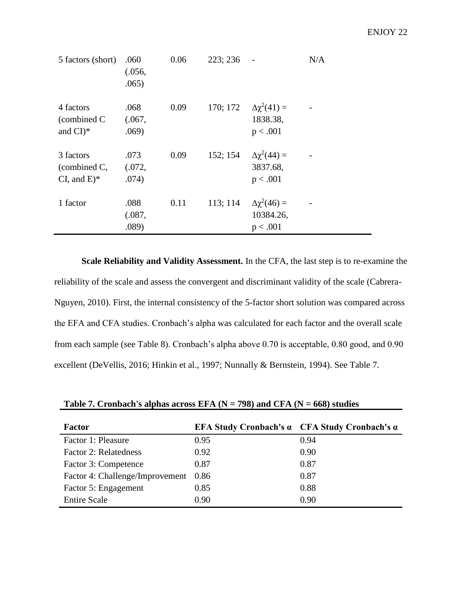| 5 factors (short)                                     | .060<br>(.056,<br>.065) | 0.06 | 223; 236 |                                                | N/A |
|-------------------------------------------------------|-------------------------|------|----------|------------------------------------------------|-----|
| 4 factors<br>(combined C<br>and $CI$ <sup>*</sup>     | .068<br>(.067,<br>.069) | 0.09 | 170; 172 | $\Delta \chi^2(41) =$<br>1838.38,<br>p < .001  |     |
| 3 factors<br>(combined C,<br>CI, and $E$ <sup>*</sup> | .073<br>(.072,<br>.074) | 0.09 | 152; 154 | $\Delta \chi^2(44) =$<br>3837.68,<br>p < .001  |     |
| 1 factor                                              | .088<br>(.087,<br>.089) | 0.11 | 113; 114 | $\Delta \chi^2(46) =$<br>10384.26,<br>p < .001 |     |

**Scale Reliability and Validity Assessment.** In the CFA, the last step is to re-examine the reliability of the scale and assess the convergent and discriminant validity of the scale (Cabrera-Nguyen, 2010). First, the internal consistency of the 5-factor short solution was compared across the EFA and CFA studies. Cronbach's alpha was calculated for each factor and the overall scale from each sample (see Table 8). Cronbach's alpha above 0.70 is acceptable, 0.80 good, and 0.90 excellent (DeVellis, 2016; Hinkin et al., 1997; Nunnally & Bernstein, 1994). See Table 7.

| <b>Factor</b>                   |      | <b>EFA Study Cronbach's <math>\alpha</math></b> CFA Study Cronbach's $\alpha$ |
|---------------------------------|------|-------------------------------------------------------------------------------|
| Factor 1: Pleasure              | 0.95 | 0.94                                                                          |
| <b>Factor 2: Relatedness</b>    | 0.92 | 0.90                                                                          |
| Factor 3: Competence            | 0.87 | 0.87                                                                          |
| Factor 4: Challenge/Improvement | 0.86 | 0.87                                                                          |
| Factor 5: Engagement            | 0.85 | 0.88                                                                          |
| <b>Entire Scale</b>             | 0.90 | 0.90                                                                          |

Table 7. Cronbach's alphas across EFA (N = 798) and CFA (N = 668) studies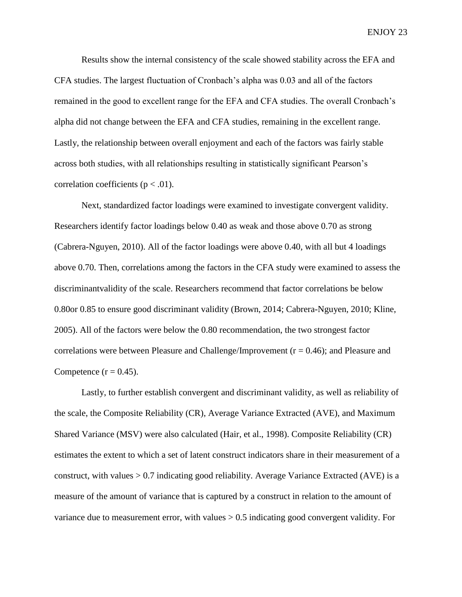Results show the internal consistency of the scale showed stability across the EFA and CFA studies. The largest fluctuation of Cronbach's alpha was 0.03 and all of the factors remained in the good to excellent range for the EFA and CFA studies. The overall Cronbach's alpha did not change between the EFA and CFA studies, remaining in the excellent range. Lastly, the relationship between overall enjoyment and each of the factors was fairly stable across both studies, with all relationships resulting in statistically significant Pearson's correlation coefficients ( $p < .01$ ).

Next, standardized factor loadings were examined to investigate convergent validity. Researchers identify factor loadings below 0.40 as weak and those above 0.70 as strong (Cabrera-Nguyen, 2010). All of the factor loadings were above 0.40, with all but 4 loadings above 0.70. Then, correlations among the factors in the CFA study were examined to assess the discriminantvalidity of the scale. Researchers recommend that factor correlations be below 0.80or 0.85 to ensure good discriminant validity (Brown, 2014; Cabrera-Nguyen, 2010; Kline, 2005). All of the factors were below the 0.80 recommendation, the two strongest factor correlations were between Pleasure and Challenge/Improvement ( $r = 0.46$ ); and Pleasure and Competence  $(r = 0.45)$ .

Lastly, to further establish convergent and discriminant validity, as well as reliability of the scale, the Composite Reliability (CR), Average Variance Extracted (AVE), and Maximum Shared Variance (MSV) were also calculated (Hair, et al., 1998). Composite Reliability (CR) estimates the extent to which a set of latent construct indicators share in their measurement of a construct, with values > 0.7 indicating good reliability. Average Variance Extracted (AVE) is a measure of the amount of variance that is captured by a construct in relation to the amount of variance due to measurement error, with values > 0.5 indicating good convergent validity. For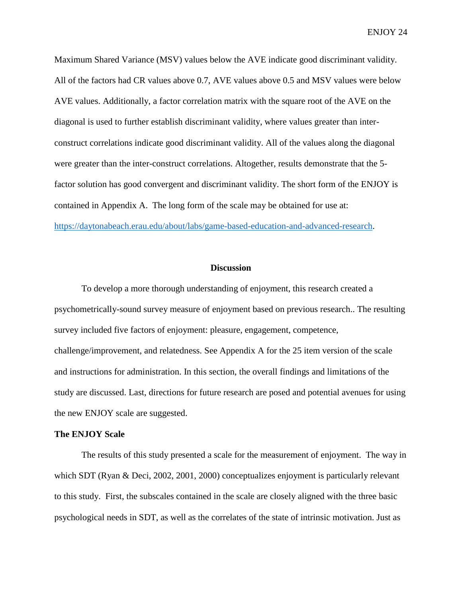Maximum Shared Variance (MSV) values below the AVE indicate good discriminant validity. All of the factors had CR values above 0.7, AVE values above 0.5 and MSV values were below AVE values. Additionally, a factor correlation matrix with the square root of the AVE on the diagonal is used to further establish discriminant validity, where values greater than interconstruct correlations indicate good discriminant validity. All of the values along the diagonal were greater than the inter-construct correlations. Altogether, results demonstrate that the 5 factor solution has good convergent and discriminant validity. The short form of the ENJOY is contained in Appendix A. The long form of the scale may be obtained for use at: [https://daytonabeach.erau.edu/about/labs/game-based-education-and-advanced-research.](https://daytonabeach.erau.edu/about/labs/game-based-education-and-advanced-research)

#### **Discussion**

To develop a more thorough understanding of enjoyment, this research created a psychometrically-sound survey measure of enjoyment based on previous research.. The resulting survey included five factors of enjoyment: pleasure, engagement, competence, challenge/improvement, and relatedness. See Appendix A for the 25 item version of the scale and instructions for administration. In this section, the overall findings and limitations of the study are discussed. Last, directions for future research are posed and potential avenues for using the new ENJOY scale are suggested.

#### **The ENJOY Scale**

The results of this study presented a scale for the measurement of enjoyment. The way in which SDT (Ryan & Deci, 2002, 2001, 2000) conceptualizes enjoyment is particularly relevant to this study. First, the subscales contained in the scale are closely aligned with the three basic psychological needs in SDT, as well as the correlates of the state of intrinsic motivation. Just as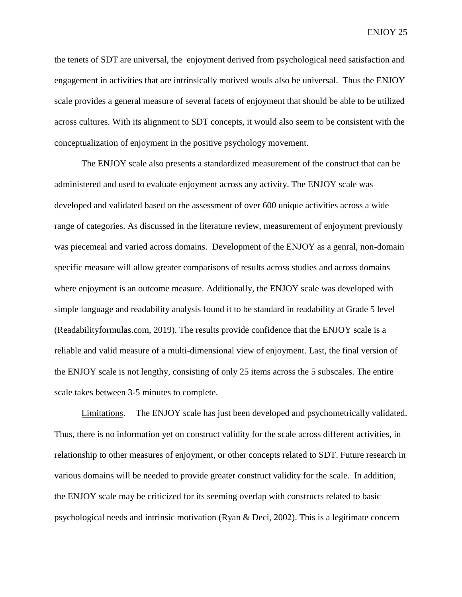the tenets of SDT are universal, the enjoyment derived from psychological need satisfaction and engagement in activities that are intrinsically motived wouls also be universal. Thus the ENJOY scale provides a general measure of several facets of enjoyment that should be able to be utilized across cultures. With its alignment to SDT concepts, it would also seem to be consistent with the conceptualization of enjoyment in the positive psychology movement.

The ENJOY scale also presents a standardized measurement of the construct that can be administered and used to evaluate enjoyment across any activity. The ENJOY scale was developed and validated based on the assessment of over 600 unique activities across a wide range of categories. As discussed in the literature review, measurement of enjoyment previously was piecemeal and varied across domains. Development of the ENJOY as a genral, non-domain specific measure will allow greater comparisons of results across studies and across domains where enjoyment is an outcome measure. Additionally, the ENJOY scale was developed with simple language and readability analysis found it to be standard in readability at Grade 5 level (Readabilityformulas.com, 2019). The results provide confidence that the ENJOY scale is a reliable and valid measure of a multi-dimensional view of enjoyment. Last, the final version of the ENJOY scale is not lengthy, consisting of only 25 items across the 5 subscales. The entire scale takes between 3-5 minutes to complete.

Limitations. The ENJOY scale has just been developed and psychometrically validated. Thus, there is no information yet on construct validity for the scale across different activities, in relationship to other measures of enjoyment, or other concepts related to SDT. Future research in various domains will be needed to provide greater construct validity for the scale. In addition, the ENJOY scale may be criticized for its seeming overlap with constructs related to basic psychological needs and intrinsic motivation (Ryan & Deci, 2002). This is a legitimate concern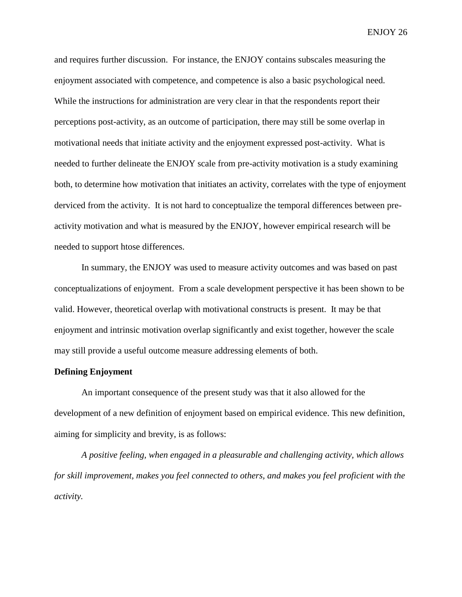and requires further discussion. For instance, the ENJOY contains subscales measuring the enjoyment associated with competence, and competence is also a basic psychological need. While the instructions for administration are very clear in that the respondents report their perceptions post-activity, as an outcome of participation, there may still be some overlap in motivational needs that initiate activity and the enjoyment expressed post-activity. What is needed to further delineate the ENJOY scale from pre-activity motivation is a study examining both, to determine how motivation that initiates an activity, correlates with the type of enjoyment derviced from the activity. It is not hard to conceptualize the temporal differences between preactivity motivation and what is measured by the ENJOY, however empirical research will be needed to support htose differences.

In summary, the ENJOY was used to measure activity outcomes and was based on past conceptualizations of enjoyment. From a scale development perspective it has been shown to be valid. However, theoretical overlap with motivational constructs is present. It may be that enjoyment and intrinsic motivation overlap significantly and exist together, however the scale may still provide a useful outcome measure addressing elements of both.

### **Defining Enjoyment**

An important consequence of the present study was that it also allowed for the development of a new definition of enjoyment based on empirical evidence. This new definition, aiming for simplicity and brevity, is as follows:

*A positive feeling, when engaged in a pleasurable and challenging activity, which allows for skill improvement, makes you feel connected to others, and makes you feel proficient with the activity.*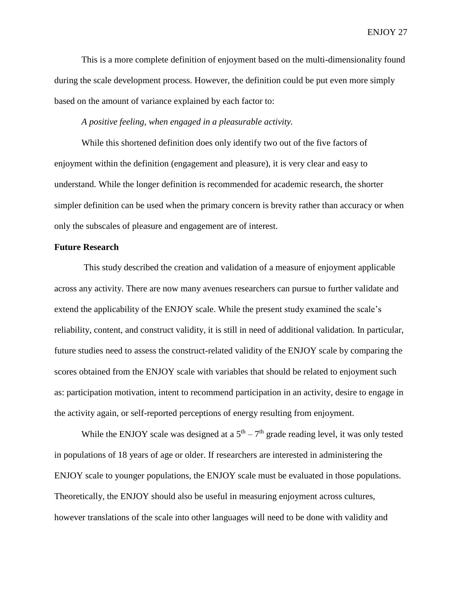This is a more complete definition of enjoyment based on the multi-dimensionality found during the scale development process. However, the definition could be put even more simply based on the amount of variance explained by each factor to:

*A positive feeling, when engaged in a pleasurable activity.*

While this shortened definition does only identify two out of the five factors of enjoyment within the definition (engagement and pleasure), it is very clear and easy to understand. While the longer definition is recommended for academic research, the shorter simpler definition can be used when the primary concern is brevity rather than accuracy or when only the subscales of pleasure and engagement are of interest.

### **Future Research**

This study described the creation and validation of a measure of enjoyment applicable across any activity. There are now many avenues researchers can pursue to further validate and extend the applicability of the ENJOY scale. While the present study examined the scale's reliability, content, and construct validity, it is still in need of additional validation. In particular, future studies need to assess the construct-related validity of the ENJOY scale by comparing the scores obtained from the ENJOY scale with variables that should be related to enjoyment such as: participation motivation, intent to recommend participation in an activity, desire to engage in the activity again, or self-reported perceptions of energy resulting from enjoyment.

While the ENJOY scale was designed at a  $5<sup>th</sup> - 7<sup>th</sup>$  grade reading level, it was only tested in populations of 18 years of age or older. If researchers are interested in administering the ENJOY scale to younger populations, the ENJOY scale must be evaluated in those populations. Theoretically, the ENJOY should also be useful in measuring enjoyment across cultures, however translations of the scale into other languages will need to be done with validity and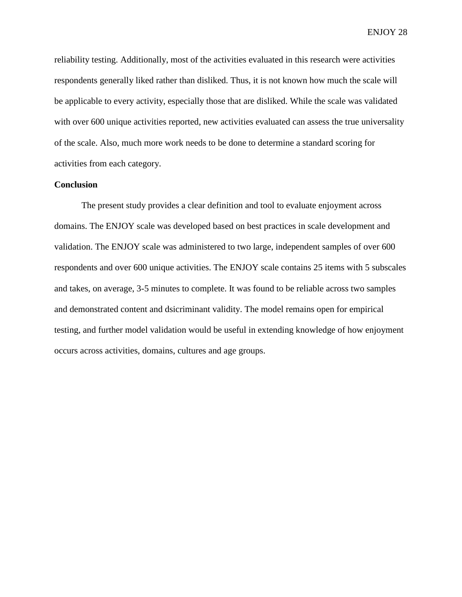reliability testing. Additionally, most of the activities evaluated in this research were activities respondents generally liked rather than disliked. Thus, it is not known how much the scale will be applicable to every activity, especially those that are disliked. While the scale was validated with over 600 unique activities reported, new activities evaluated can assess the true universality of the scale. Also, much more work needs to be done to determine a standard scoring for activities from each category.

## **Conclusion**

The present study provides a clear definition and tool to evaluate enjoyment across domains. The ENJOY scale was developed based on best practices in scale development and validation. The ENJOY scale was administered to two large, independent samples of over 600 respondents and over 600 unique activities. The ENJOY scale contains 25 items with 5 subscales and takes, on average, 3-5 minutes to complete. It was found to be reliable across two samples and demonstrated content and dsicriminant validity. The model remains open for empirical testing, and further model validation would be useful in extending knowledge of how enjoyment occurs across activities, domains, cultures and age groups.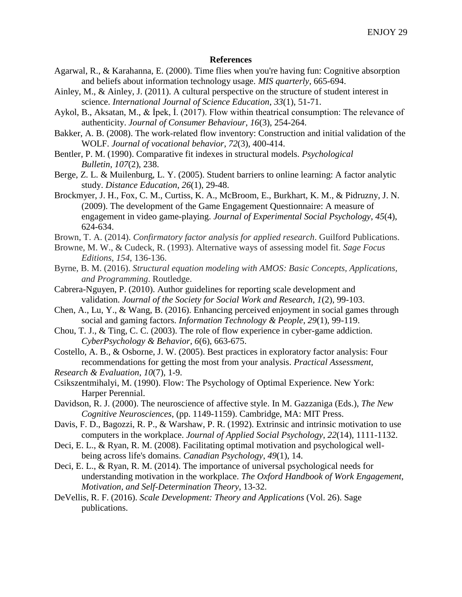### **References**

- Agarwal, R., & Karahanna, E. (2000). Time flies when you're having fun: Cognitive absorption and beliefs about information technology usage. *MIS quarterly*, 665-694.
- Ainley, M., & Ainley, J. (2011). A cultural perspective on the structure of student interest in science. *International Journal of Science Education*, *33*(1), 51-71.
- Aykol, B., Aksatan, M., & İpek, İ. (2017). Flow within theatrical consumption: The relevance of authenticity. *Journal of Consumer Behaviour*, *16*(3), 254-264.
- Bakker, A. B. (2008). The work-related flow inventory: Construction and initial validation of the WOLF. *Journal of vocational behavior*, *72*(3), 400-414.
- Bentler, P. M. (1990). Comparative fit indexes in structural models. *Psychological Bulletin*, *107*(2), 238.
- Berge, Z. L. & Muilenburg, L. Y. (2005). Student barriers to online learning: A factor analytic study. *Distance Education*, *26*(1), 29-48.
- Brockmyer, J. H., Fox, C. M., Curtiss, K. A., McBroom, E., Burkhart, K. M., & Pidruzny, J. N. (2009). The development of the Game Engagement Questionnaire: A measure of engagement in video game-playing. *Journal of Experimental Social Psychology*, *45*(4), 624-634.
- Brown, T. A. (2014). *Confirmatory factor analysis for applied research*. Guilford Publications.
- Browne, M. W., & Cudeck, R. (1993). Alternative ways of assessing model fit. *Sage Focus Editions*, *154*, 136-136.
- Byrne, B. M. (2016). *Structural equation modeling with AMOS: Basic Concepts, Applications, and Programming*. Routledge.
- Cabrera-Nguyen, P. (2010). Author guidelines for reporting scale development and validation. *Journal of the Society for Social Work and Research*, *1*(2), 99-103.
- Chen, A., Lu, Y., & Wang, B. (2016). Enhancing perceived enjoyment in social games through social and gaming factors. *Information Technology & People*, *29*(1), 99-119.
- Chou, T. J., & Ting, C. C. (2003). The role of flow experience in cyber-game addiction. *CyberPsychology & Behavior*, *6*(6), 663-675.
- Costello, A. B., & Osborne, J. W. (2005). Best practices in exploratory factor analysis: Four recommendations for getting the most from your analysis. *Practical Assessment,*
- *Research & Evaluation*, *10*(7), 1-9.
- Csikszentmihalyi, M. (1990). Flow: The Psychology of Optimal Experience. New York: Harper Perennial.
- Davidson, R. J. (2000). The neuroscience of affective style. In M. Gazzaniga (Eds.), *The New Cognitive Neurosciences*, (pp. 1149-1159). Cambridge, MA: MIT Press.
- Davis, F. D., Bagozzi, R. P., & Warshaw, P. R. (1992). Extrinsic and intrinsic motivation to use computers in the workplace. *Journal of Applied Social Psychology*, *22*(14), 1111-1132.
- Deci, E. L., & Ryan, R. M. (2008). Facilitating optimal motivation and psychological wellbeing across life's domains. *Canadian Psychology*, *49*(1), 14.
- Deci, E. L., & Ryan, R. M. (2014). The importance of universal psychological needs for understanding motivation in the workplace. *The Oxford Handbook of Work Engagement, Motivation, and Self-Determination Theory*, 13-32.
- DeVellis, R. F. (2016). *Scale Development: Theory and Applications* (Vol. 26). Sage publications.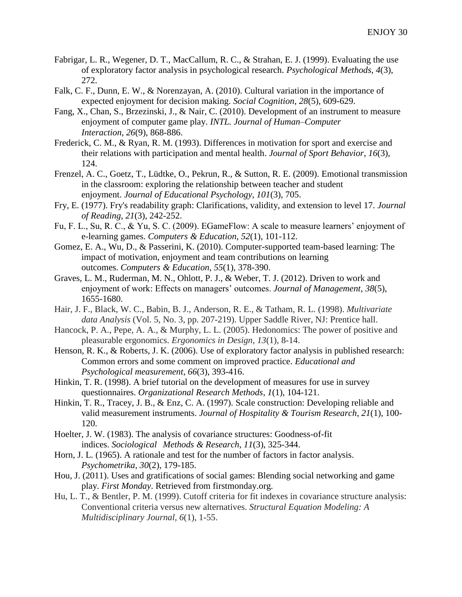- Fabrigar, L. R., Wegener, D. T., MacCallum, R. C., & Strahan, E. J. (1999). Evaluating the use of exploratory factor analysis in psychological research. *Psychological Methods*, *4*(3), 272.
- Falk, C. F., Dunn, E. W., & Norenzayan, A. (2010). Cultural variation in the importance of expected enjoyment for decision making. *Social Cognition*, *28*(5), 609-629.
- Fang, X., Chan, S., Brzezinski, J., & Nair, C. (2010). Development of an instrument to measure enjoyment of computer game play. *INTL. Journal of Human–Computer Interaction*, *26*(9), 868-886.
- Frederick, C. M., & Ryan, R. M. (1993). Differences in motivation for sport and exercise and their relations with participation and mental health. *Journal of Sport Behavior*, *16*(3), 124.
- Frenzel, A. C., Goetz, T., Lüdtke, O., Pekrun, R., & Sutton, R. E. (2009). Emotional transmission in the classroom: exploring the relationship between teacher and student enjoyment. *Journal of Educational Psychology*, *101*(3), 705.
- Fry, E. (1977). Fry's readability graph: Clarifications, validity, and extension to level 17. *Journal of Reading*, *21*(3), 242-252.
- Fu, F. L., Su, R. C., & Yu, S. C. (2009). EGameFlow: A scale to measure learners' enjoyment of e-learning games. *Computers & Education*, *52*(1), 101-112.
- Gomez, E. A., Wu, D., & Passerini, K. (2010). Computer-supported team-based learning: The impact of motivation, enjoyment and team contributions on learning outcomes. *Computers & Education*, *55*(1), 378-390.
- Graves, L. M., Ruderman, M. N., Ohlott, P. J., & Weber, T. J. (2012). Driven to work and enjoyment of work: Effects on managers' outcomes. *Journal of Management*, *38*(5), 1655-1680.
- Hair, J. F., Black, W. C., Babin, B. J., Anderson, R. E., & Tatham, R. L. (1998). *Multivariate data Analysis* (Vol. 5, No. 3, pp. 207-219). Upper Saddle River, NJ: Prentice hall.
- Hancock, P. A., Pepe, A. A., & Murphy, L. L. (2005). Hedonomics: The power of positive and pleasurable ergonomics. *Ergonomics in Design*, *13*(1), 8-14.
- Henson, R. K., & Roberts, J. K. (2006). Use of exploratory factor analysis in published research: Common errors and some comment on improved practice. *Educational and Psychological measurement*, *66*(3), 393-416.
- Hinkin, T. R. (1998). A brief tutorial on the development of measures for use in survey questionnaires. *Organizational Research Methods*, *1*(1), 104-121.
- Hinkin, T. R., Tracey, J. B., & Enz, C. A. (1997). Scale construction: Developing reliable and valid measurement instruments. *Journal of Hospitality & Tourism Research*, *21*(1), 100- 120.
- Hoelter, J. W. (1983). The analysis of covariance structures: Goodness-of-fit indices. *Sociological Methods & Research*, *11*(3), 325-344.
- Horn, J. L. (1965). A rationale and test for the number of factors in factor analysis. *Psychometrika*, *30*(2), 179-185.
- Hou, J. (2011). Uses and gratifications of social games: Blending social networking and game play. *First Monday*. Retrieved from firstmonday.org.
- Hu, L. T., & Bentler, P. M. (1999). Cutoff criteria for fit indexes in covariance structure analysis: Conventional criteria versus new alternatives. *Structural Equation Modeling: A Multidisciplinary Journal*, *6*(1), 1-55.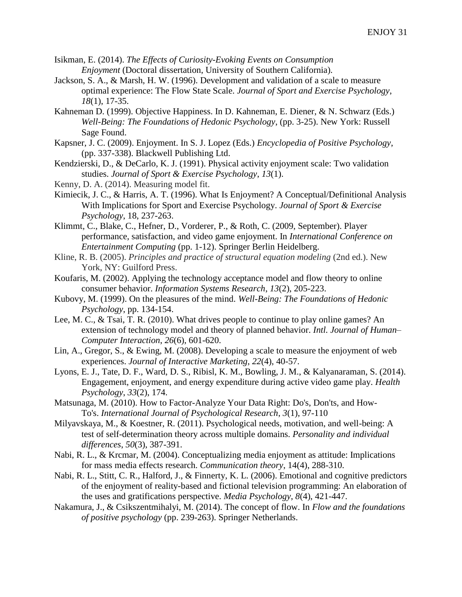- Isikman, E. (2014). *The Effects of Curiosity-Evoking Events on Consumption Enjoyment* (Doctoral dissertation, University of Southern California).
- Jackson, S. A., & Marsh, H. W. (1996). Development and validation of a scale to measure optimal experience: The Flow State Scale. *Journal of Sport and Exercise Psychology*, *18*(1), 17-35.
- Kahneman D. (1999). Objective Happiness. In D. Kahneman, E. Diener, & N. Schwarz (Eds.) *Well-Being: The Foundations of Hedonic Psychology*, (pp. 3-25). New York: Russell Sage Found.
- Kapsner, J. C. (2009). Enjoyment. In S. J. Lopez (Eds.) *Encyclopedia of Positive Psychology*, (pp. 337-338). Blackwell Publishing Ltd.
- Kendzierski, D., & DeCarlo, K. J. (1991). Physical activity enjoyment scale: Two validation studies. *Journal of Sport & Exercise Psychology*, *13*(1).
- Kenny, D. A. (2014). Measuring model fit.
- Kimiecik, J. C., & Harris, A. T. (1996). What Is Enjoyment? A Conceptual/Definitional Analysis With Implications for Sport and Exercise Psychology. *Journal of Sport & Exercise Psychology*, 18, 237-263.
- Klimmt, C., Blake, C., Hefner, D., Vorderer, P., & Roth, C. (2009, September). Player performance, satisfaction, and video game enjoyment. In *International Conference on Entertainment Computing* (pp. 1-12). Springer Berlin Heidelberg.
- Kline, R. B. (2005). *Principles and practice of structural equation modeling* (2nd ed.). New York, NY: Guilford Press.
- Koufaris, M. (2002). Applying the technology acceptance model and flow theory to online consumer behavior. *Information Systems Research*, *13*(2), 205-223.
- Kubovy, M. (1999). On the pleasures of the mind. *Well-Being: The Foundations of Hedonic Psychology*, pp. 134-154.
- Lee, M. C., & Tsai, T. R. (2010). What drives people to continue to play online games? An extension of technology model and theory of planned behavior. *Intl. Journal of Human– Computer Interaction*, *26*(6), 601-620.
- Lin, A., Gregor, S., & Ewing, M. (2008). Developing a scale to measure the enjoyment of web experiences. *Journal of Interactive Marketing*, *22*(4), 40-57.
- Lyons, E. J., Tate, D. F., Ward, D. S., Ribisl, K. M., Bowling, J. M., & Kalyanaraman, S. (2014). Engagement, enjoyment, and energy expenditure during active video game play. *Health Psychology*, *33*(2), 174.
- Matsunaga, M. (2010). How to Factor-Analyze Your Data Right: Do's, Don'ts, and How-To's. *International Journal of Psychological Research*, *3*(1), 97-110
- Milyavskaya, M., & Koestner, R. (2011). Psychological needs, motivation, and well-being: A test of self-determination theory across multiple domains. *Personality and individual differences*, *50*(3), 387-391.
- Nabi, R. L., & Krcmar, M. (2004). Conceptualizing media enjoyment as attitude: Implications for mass media effects research. *Communication theory*, 14(4), 288-310.
- Nabi, R. L., Stitt, C. R., Halford, J., & Finnerty, K. L. (2006). Emotional and cognitive predictors of the enjoyment of reality-based and fictional television programming: An elaboration of the uses and gratifications perspective. *Media Psychology*, *8*(4), 421-447.
- Nakamura, J., & Csikszentmihalyi, M. (2014). The concept of flow. In *Flow and the foundations of positive psychology* (pp. 239-263). Springer Netherlands.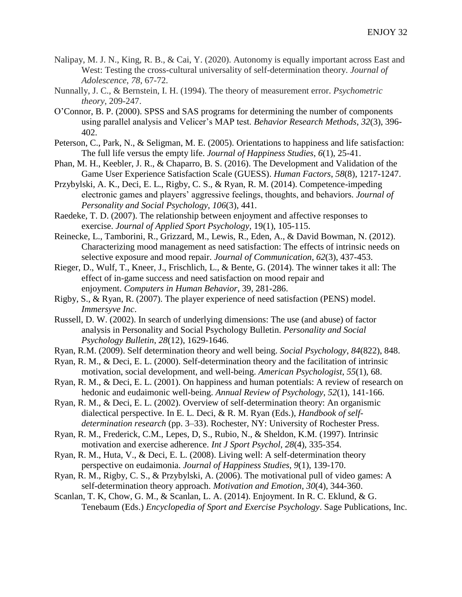- Nalipay, M. J. N., King, R. B., & Cai, Y. (2020). Autonomy is equally important across East and West: Testing the cross-cultural universality of self-determination theory. *Journal of Adolescence*, *78*, 67-72.
- Nunnally, J. C., & Bernstein, I. H. (1994). The theory of measurement error. *Psychometric theory*, 209-247.
- O'Connor, B. P. (2000). SPSS and SAS programs for determining the number of components using parallel analysis and Velicer's MAP test. *Behavior Research Methods*, *32*(3), 396- 402.
- Peterson, C., Park, N., & Seligman, M. E. (2005). Orientations to happiness and life satisfaction: The full life versus the empty life. *Journal of Happiness Studies*, *6*(1), 25-41.
- Phan, M. H., Keebler, J. R., & Chaparro, B. S. (2016). The Development and Validation of the Game User Experience Satisfaction Scale (GUESS). *Human Factors*, *58*(8), 1217-1247.
- Przybylski, A. K., Deci, E. L., Rigby, C. S., & Ryan, R. M. (2014). Competence-impeding electronic games and players' aggressive feelings, thoughts, and behaviors. *Journal of Personality and Social Psychology*, *106*(3), 441.
- Raedeke, T. D. (2007). The relationship between enjoyment and affective responses to exercise. *Journal of Applied Sport Psychology*, 19(1), 105-115.
- Reinecke, L., Tamborini, R., Grizzard, M., Lewis, R., Eden, A., & David Bowman, N. (2012). Characterizing mood management as need satisfaction: The effects of intrinsic needs on selective exposure and mood repair. *Journal of Communication*, *62*(3), 437-453.
- Rieger, D., Wulf, T., Kneer, J., Frischlich, L., & Bente, G. (2014). The winner takes it all: The effect of in-game success and need satisfaction on mood repair and enjoyment. *Computers in Human Behavior*, 39, 281-286.
- Rigby, S., & Ryan, R. (2007). The player experience of need satisfaction (PENS) model. *Immersyve Inc*.
- Russell, D. W. (2002). In search of underlying dimensions: The use (and abuse) of factor analysis in Personality and Social Psychology Bulletin. *Personality and Social Psychology Bulletin*, *28*(12), 1629-1646.
- Ryan, R.M. (2009). Self determination theory and well being. *Social Psychology*, *84*(822), 848.
- Ryan, R. M., & Deci, E. L. (2000). Self-determination theory and the facilitation of intrinsic motivation, social development, and well-being. *American Psychologist*, *55*(1), 68.
- Ryan, R. M., & Deci, E. L. (2001). On happiness and human potentials: A review of research on hedonic and eudaimonic well-being. *Annual Review of Psychology*, *52*(1), 141-166.
- Ryan, R. M., & Deci, E. L. (2002). Overview of self-determination theory: An organismic dialectical perspective. In E. L. Deci, & R. M. Ryan (Eds.), *Handbook of selfdetermination research* (pp. 3–33). Rochester, NY: University of Rochester Press.
- Ryan, R. M., Frederick, C.M., Lepes, D, S., Rubio, N., & Sheldon, K.M. (1997). Intrinsic motivation and exercise adherence. *Int J Sport Psychol*, *28*(4), 335-354.
- Ryan, R. M., Huta, V., & Deci, E. L. (2008). Living well: A self-determination theory perspective on eudaimonia. *Journal of Happiness Studies*, *9*(1), 139-170.
- Ryan, R. M., Rigby, C. S., & Przybylski, A. (2006). The motivational pull of video games: A self-determination theory approach. *Motivation and Emotion*, *30*(4), 344-360.
- Scanlan, T. K, Chow, G. M., & Scanlan, L. A. (2014). Enjoyment. In R. C. Eklund, & G. Tenebaum (Eds.) *Encyclopedia of Sport and Exercise Psychology*. Sage Publications, Inc.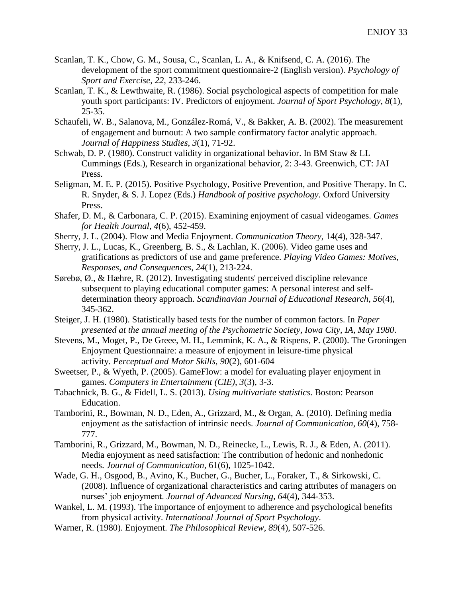- Scanlan, T. K., Chow, G. M., Sousa, C., Scanlan, L. A., & Knifsend, C. A. (2016). The development of the sport commitment questionnaire-2 (English version). *Psychology of Sport and Exercise*, *22*, 233-246.
- Scanlan, T. K., & Lewthwaite, R. (1986). Social psychological aspects of competition for male youth sport participants: IV. Predictors of enjoyment. *Journal of Sport Psychology*, *8*(1), 25-35.
- Schaufeli, W. B., Salanova, M., González-Romá, V., & Bakker, A. B. (2002). The measurement of engagement and burnout: A two sample confirmatory factor analytic approach. *Journal of Happiness Studies*, *3*(1), 71-92.
- Schwab, D. P. (1980). Construct validity in organizational behavior. In BM Staw & LL Cummings (Eds.), Research in organizational behavior, 2: 3-43. Greenwich, CT: JAI Press.
- Seligman, M. E. P. (2015). Positive Psychology, Positive Prevention, and Positive Therapy. In C. R. Snyder, & S. J. Lopez (Eds.) *Handbook of positive psychology*. Oxford University Press.
- Shafer, D. M., & Carbonara, C. P. (2015). Examining enjoyment of casual videogames. *Games for Health Journal*, *4*(6), 452-459.
- Sherry, J. L. (2004). Flow and Media Enjoyment. *Communication Theory*, 14(4), 328-347.
- Sherry, J. L., Lucas, K., Greenberg, B. S., & Lachlan, K. (2006). Video game uses and gratifications as predictors of use and game preference. *Playing Video Games: Motives, Responses, and Consequences*, *24*(1), 213-224.
- Sørebø, Ø., & Hæhre, R. (2012). Investigating students' perceived discipline relevance subsequent to playing educational computer games: A personal interest and selfdetermination theory approach. *Scandinavian Journal of Educational Research*, *56*(4), 345-362.
- Steiger, J. H. (1980). Statistically based tests for the number of common factors. In *Paper presented at the annual meeting of the Psychometric Society, Iowa City, IA, May 1980*.
- Stevens, M., Moget, P., De Greee, M. H., Lemmink, K. A., & Rispens, P. (2000). The Groningen Enjoyment Questionnaire: a measure of enjoyment in leisure-time physical activity. *Perceptual and Motor Skills*, *90*(2), 601-604
- Sweetser, P., & Wyeth, P. (2005). GameFlow: a model for evaluating player enjoyment in games. *Computers in Entertainment (CIE)*, *3*(3), 3-3.
- Tabachnick, B. G., & Fidell, L. S. (2013). *Using multivariate statistics*. Boston: Pearson Education.
- Tamborini, R., Bowman, N. D., Eden, A., Grizzard, M., & Organ, A. (2010). Defining media enjoyment as the satisfaction of intrinsic needs. *Journal of Communication*, *60*(4), 758- 777.
- Tamborini, R., Grizzard, M., Bowman, N. D., Reinecke, L., Lewis, R. J., & Eden, A. (2011). Media enjoyment as need satisfaction: The contribution of hedonic and nonhedonic needs. *Journal of Communication*, 61(6), 1025-1042.
- Wade, G. H., Osgood, B., Avino, K., Bucher, G., Bucher, L., Foraker, T., & Sirkowski, C. (2008). Influence of organizational characteristics and caring attributes of managers on nurses' job enjoyment. *Journal of Advanced Nursing*, *64*(4), 344-353.
- Wankel, L. M. (1993). The importance of enjoyment to adherence and psychological benefits from physical activity. *International Journal of Sport Psychology*.
- Warner, R. (1980). Enjoyment. *The Philosophical Review*, *89*(4), 507-526.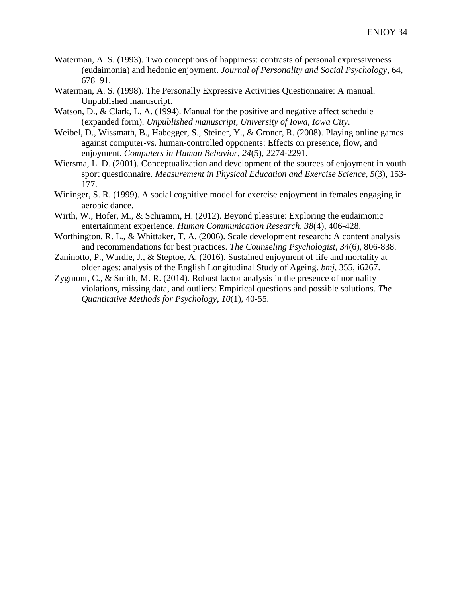- Waterman, A. S. (1993). Two conceptions of happiness: contrasts of personal expressiveness (eudaimonia) and hedonic enjoyment. *Journal of Personality and Social Psychology*, 64, 678–91.
- Waterman, A. S. (1998). The Personally Expressive Activities Questionnaire: A manual. Unpublished manuscript.
- Watson, D., & Clark, L. A. (1994). Manual for the positive and negative affect schedule (expanded form). *Unpublished manuscript, University of Iowa, Iowa City*.
- Weibel, D., Wissmath, B., Habegger, S., Steiner, Y., & Groner, R. (2008). Playing online games against computer-vs. human-controlled opponents: Effects on presence, flow, and enjoyment. *Computers in Human Behavior*, *24*(5), 2274-2291.
- Wiersma, L. D. (2001). Conceptualization and development of the sources of enjoyment in youth sport questionnaire. *Measurement in Physical Education and Exercise Science*, *5*(3), 153- 177.
- Wininger, S. R. (1999). A social cognitive model for exercise enjoyment in females engaging in aerobic dance.
- Wirth, W., Hofer, M., & Schramm, H. (2012). Beyond pleasure: Exploring the eudaimonic entertainment experience. *Human Communication Research*, *38*(4), 406-428.
- Worthington, R. L., & Whittaker, T. A. (2006). Scale development research: A content analysis and recommendations for best practices. *The Counseling Psychologist*, *34*(6), 806-838.
- Zaninotto, P., Wardle, J., & Steptoe, A. (2016). Sustained enjoyment of life and mortality at older ages: analysis of the English Longitudinal Study of Ageing. *bmj*, 355, i6267.
- Zygmont, C., & Smith, M. R. (2014). Robust factor analysis in the presence of normality violations, missing data, and outliers: Empirical questions and possible solutions. *The Quantitative Methods for Psychology*, *10*(1), 40-55.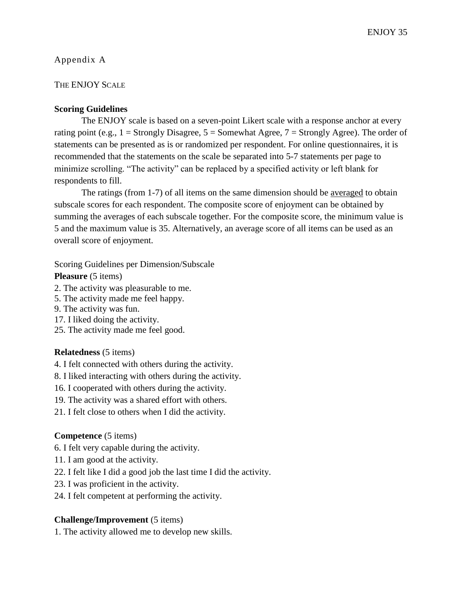# Appendix A

# THE ENJOY SCALE

# **Scoring Guidelines**

The ENJOY scale is based on a seven-point Likert scale with a response anchor at every rating point (e.g.,  $1 =$  Strongly Disagree,  $5 =$  Somewhat Agree,  $7 =$  Strongly Agree). The order of statements can be presented as is or randomized per respondent. For online questionnaires, it is recommended that the statements on the scale be separated into 5-7 statements per page to minimize scrolling. "The activity" can be replaced by a specified activity or left blank for respondents to fill.

The ratings (from 1-7) of all items on the same dimension should be averaged to obtain subscale scores for each respondent. The composite score of enjoyment can be obtained by summing the averages of each subscale together. For the composite score, the minimum value is 5 and the maximum value is 35. Alternatively, an average score of all items can be used as an overall score of enjoyment.

Scoring Guidelines per Dimension/Subscale

**Pleasure** (5 items)

- 2. The activity was pleasurable to me.
- 5. The activity made me feel happy.
- 9. The activity was fun.
- 17. I liked doing the activity.
- 25. The activity made me feel good.

# **Relatedness** (5 items)

- 4. I felt connected with others during the activity.
- 8. I liked interacting with others during the activity.
- 16. I cooperated with others during the activity.
- 19. The activity was a shared effort with others.
- 21. I felt close to others when I did the activity.

# **Competence** (5 items)

- 6. I felt very capable during the activity.
- 11. I am good at the activity.
- 22. I felt like I did a good job the last time I did the activity.
- 23. I was proficient in the activity.
- 24. I felt competent at performing the activity.

# **Challenge/Improvement** (5 items)

1. The activity allowed me to develop new skills.